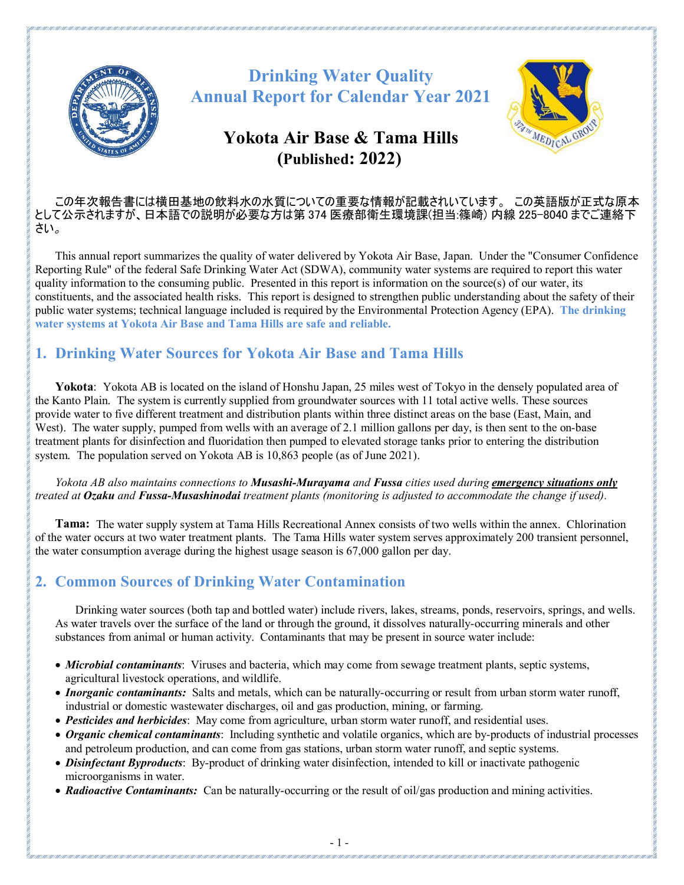

# **Drinking Water Quality Annual Report for Calendar Year 2021**

# **Yokota Air Base & Tama Hills (Published: 2022)**



#### この年次報告書には横田基地の飲料水の水質についての重要な情報が記載されいています。 この英語版が正式な原本 として公示されますが、日本語での説明が必要な方は第 374 医療部衛生環境課(担当:篠崎) 内線 225-8040 までご連絡下 さい。

This annual report summarizes the quality of water delivered by Yokota Air Base, Japan. Under the "Consumer Confidence Reporting Rule" of the federal Safe Drinking Water Act (SDWA), community water systems are required to report this water quality information to the consuming public. Presented in this report is information on the source(s) of our water, its constituents, and the associated health risks. This report is designed to strengthen public understanding about the safety of their public water systems; technical language included is required by the Environmental Protection Agency (EPA). **The drinking water systems at Yokota Air Base and Tama Hills are safe and reliable.**

# **1. Drinking Water Sources for Yokota Air Base and Tama Hills**

**Yokota**: Yokota AB is located on the island of Honshu Japan, 25 miles west of Tokyo in the densely populated area of the Kanto Plain. The system is currently supplied from groundwater sources with 11 total active wells. These sources provide water to five different treatment and distribution plants within three distinct areas on the base (East, Main, and West). The water supply, pumped from wells with an average of 2.1 million gallons per day, is then sent to the on-base treatment plants for disinfection and fluoridation then pumped to elevated storage tanks prior to entering the distribution system. The population served on Yokota AB is 10,863 people (as of June 2021).

*Yokota AB also maintains connections to Musashi-Murayama and Fussa cities used during emergency situations only treated at Ozaku and Fussa-Musashinodai treatment plants (monitoring is adjusted to accommodate the change if used).* 

**Tama:** The water supply system at Tama Hills Recreational Annex consists of two wells within the annex. Chlorination of the water occurs at two water treatment plants. The Tama Hills water system serves approximately 200 transient personnel, the water consumption average during the highest usage season is 67,000 gallon per day.

# **2. Common Sources of Drinking Water Contamination**

Drinking water sources (both tap and bottled water) include rivers, lakes, streams, ponds, reservoirs, springs, and wells. As water travels over the surface of the land or through the ground, it dissolves naturally-occurring minerals and other substances from animal or human activity. Contaminants that may be present in source water include:

- *Microbial contaminants*: Viruses and bacteria, which may come from sewage treatment plants, septic systems, agricultural livestock operations, and wildlife.
- *Inorganic contaminants:* Salts and metals, which can be naturally-occurring or result from urban storm water runoff, industrial or domestic wastewater discharges, oil and gas production, mining, or farming.
- *Pesticides and herbicides*: May come from agriculture, urban storm water runoff, and residential uses.
- *Organic chemical contaminants*: Including synthetic and volatile organics, which are by-products of industrial processes and petroleum production, and can come from gas stations, urban storm water runoff, and septic systems.
- *Disinfectant Byproducts*: By-product of drinking water disinfection, intended to kill or inactivate pathogenic microorganisms in water.
- *Radioactive Contaminants:* Can be naturally-occurring or the result of oil/gas production and mining activities.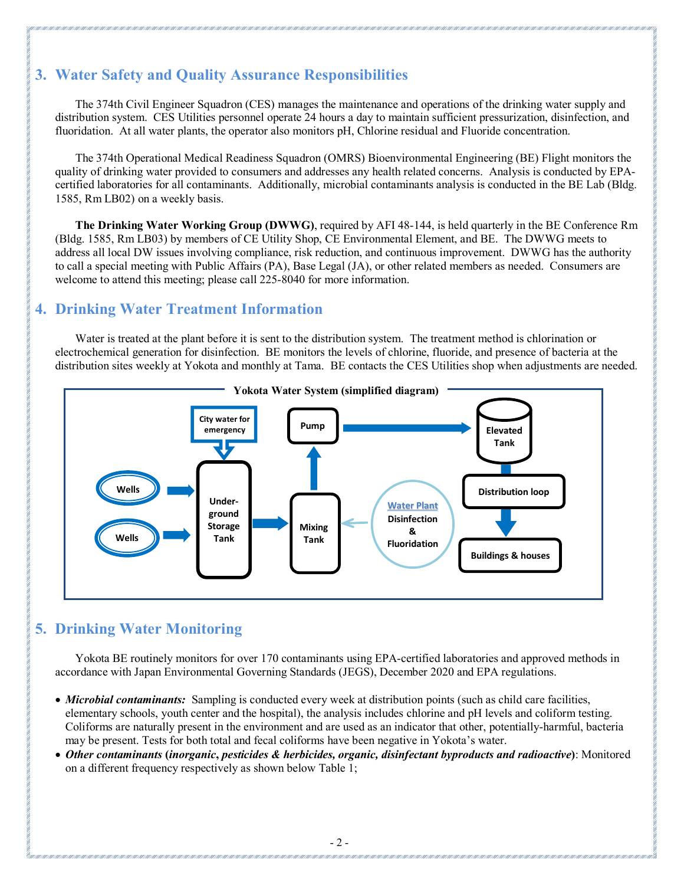# **3. Water Safety and Quality Assurance Responsibilities**

The 374th Civil Engineer Squadron (CES) manages the maintenance and operations of the drinking water supply and distribution system. CES Utilities personnel operate 24 hours a day to maintain sufficient pressurization, disinfection, and fluoridation. At all water plants, the operator also monitors pH, Chlorine residual and Fluoride concentration.

The 374th Operational Medical Readiness Squadron (OMRS) Bioenvironmental Engineering (BE) Flight monitors the quality of drinking water provided to consumers and addresses any health related concerns. Analysis is conducted by EPAcertified laboratories for all contaminants. Additionally, microbial contaminants analysis is conducted in the BE Lab (Bldg. 1585, Rm LB02) on a weekly basis.

**The Drinking Water Working Group (DWWG)**, required by AFI 48-144, is held quarterly in the BE Conference Rm (Bldg. 1585, Rm LB03) by members of CE Utility Shop, CE Environmental Element, and BE. The DWWG meets to address all local DW issues involving compliance, risk reduction, and continuous improvement. DWWG has the authority to call a special meeting with Public Affairs (PA), Base Legal (JA), or other related members as needed. Consumers are welcome to attend this meeting; please call 225-8040 for more information.

# **4. Drinking Water Treatment Information**

Water is treated at the plant before it is sent to the distribution system. The treatment method is chlorination or electrochemical generation for disinfection. BE monitors the levels of chlorine, fluoride, and presence of bacteria at the distribution sites weekly at Yokota and monthly at Tama. BE contacts the CES Utilities shop when adjustments are needed.



# **5. Drinking Water Monitoring**

Yokota BE routinely monitors for over 170 contaminants using EPA-certified laboratories and approved methods in accordance with Japan Environmental Governing Standards (JEGS), December 2020 and EPA regulations.

- *Microbial contaminants:* Sampling is conducted every week at distribution points (such as child care facilities, elementary schools, youth center and the hospital), the analysis includes chlorine and pH levels and coliform testing. Coliforms are naturally present in the environment and are used as an indicator that other, potentially-harmful, bacteria may be present. Tests for both total and fecal coliforms have been negative in Yokota's water.
- *Other contaminants* **(***inorganic***,** *pesticides & herbicides, organic, disinfectant byproducts and radioactive***)**: Monitored on a different frequency respectively as shown below Table 1;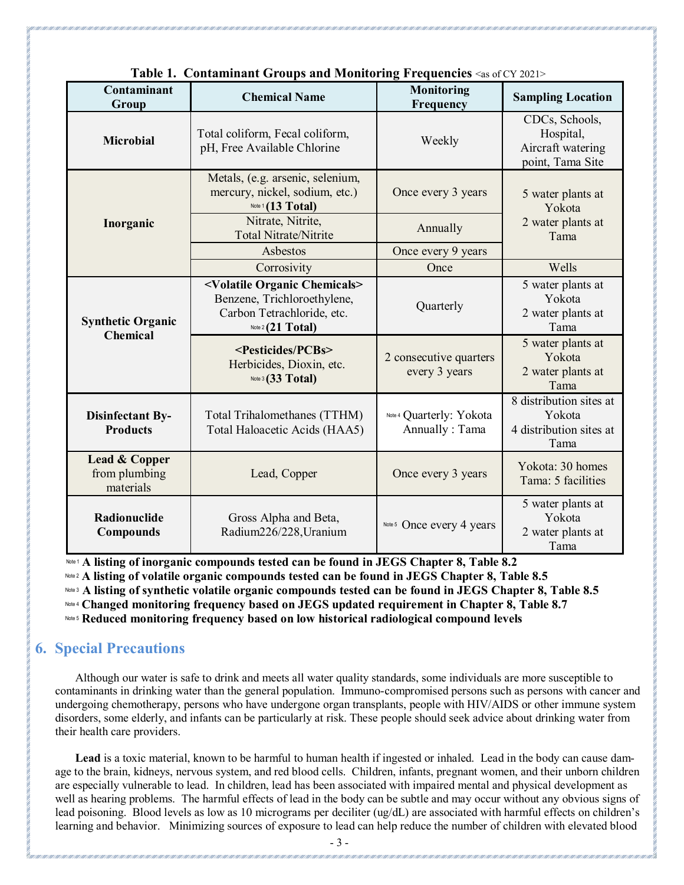|                                             |                                                                                                                                    | $\frac{1}{2}$ and reconcerning a requested |                                                                      |  |  |
|---------------------------------------------|------------------------------------------------------------------------------------------------------------------------------------|--------------------------------------------|----------------------------------------------------------------------|--|--|
| Contaminant<br>Group                        | <b>Chemical Name</b>                                                                                                               | Monitoring<br>Frequency                    | <b>Sampling Location</b>                                             |  |  |
| <b>Microbial</b>                            | Total coliform, Fecal coliform,<br>pH, Free Available Chlorine                                                                     | Weekly                                     | CDCs, Schools,<br>Hospital,<br>Aircraft watering<br>point, Tama Site |  |  |
|                                             | Metals, (e.g. arsenic, selenium,<br>mercury, nickel, sodium, etc.)<br>Note 1 (13 Total)                                            | Once every 3 years                         | 5 water plants at<br>Yokota<br>2 water plants at<br>Tama             |  |  |
| Inorganic                                   | Nitrate, Nitrite,<br><b>Total Nitrate/Nitrite</b>                                                                                  | Annually                                   |                                                                      |  |  |
|                                             | Asbestos                                                                                                                           | Once every 9 years                         |                                                                      |  |  |
|                                             | Corrosivity                                                                                                                        | Once                                       | Wells                                                                |  |  |
| <b>Synthetic Organic</b>                    | <volatile chemicals="" organic=""><br/>Benzene, Trichloroethylene,<br/>Carbon Tetrachloride, etc.<br/>Note 2 (21 Total)</volatile> | Quarterly                                  | 5 water plants at<br>Yokota<br>2 water plants at<br>Tama             |  |  |
| <b>Chemical</b>                             | <pesticides pcbs=""><br/>Herbicides, Dioxin, etc.<br/>Note 3 (33 Total)</pesticides>                                               | 2 consecutive quarters<br>every 3 years    | 5 water plants at<br>Yokota<br>2 water plants at<br>Tama             |  |  |
| <b>Disinfectant By-</b><br><b>Products</b>  | Total Trihalomethanes (TTHM)<br>Total Haloacetic Acids (HAA5)                                                                      | Note 4 Quarterly: Yokota<br>Annually: Tama | 8 distribution sites at<br>Yokota<br>4 distribution sites at<br>Tama |  |  |
| Lead & Copper<br>from plumbing<br>materials | Lead, Copper                                                                                                                       | Once every 3 years                         | Yokota: 30 homes<br>Tama: 5 facilities                               |  |  |
| Radionuclide<br><b>Compounds</b>            | Gross Alpha and Beta,<br>Radium226/228, Uranium                                                                                    | Note 5 Once every 4 years                  | 5 water plants at<br>Yokota<br>2 water plants at<br>Tama             |  |  |

|  | Table 1. Contaminant Groups and Monitoring Frequencies <as 2021="" cy="" of=""></as> |  |  |  |  |
|--|--------------------------------------------------------------------------------------|--|--|--|--|
|--|--------------------------------------------------------------------------------------|--|--|--|--|

Note 1 **A listing of inorganic compounds tested can be found in JEGS Chapter 8, Table 8.2**

Note 2 **A listing of volatile organic compounds tested can be found in JEGS Chapter 8, Table 8.5**

Note 3 **A listing of synthetic volatile organic compounds tested can be found in JEGS Chapter 8, Table 8.5**

Note 4 **Changed monitoring frequency based on JEGS updated requirement in Chapter 8, Table 8.7**

Note 5 **Reduced monitoring frequency based on low historical radiological compound levels**

### **6. Special Precautions**

Although our water is safe to drink and meets all water quality standards, some individuals are more susceptible to contaminants in drinking water than the general population. Immuno-compromised persons such as persons with cancer and undergoing chemotherapy, persons who have undergone organ transplants, people with HIV/AIDS or other immune system disorders, some elderly, and infants can be particularly at risk. These people should seek advice about drinking water from their health care providers.

Lead is a toxic material, known to be harmful to human health if ingested or inhaled. Lead in the body can cause damage to the brain, kidneys, nervous system, and red blood cells. Children, infants, pregnant women, and their unborn children are especially vulnerable to lead. In children, lead has been associated with impaired mental and physical development as well as hearing problems. The harmful effects of lead in the body can be subtle and may occur without any obvious signs of lead poisoning. Blood levels as low as 10 micrograms per deciliter (ug/dL) are associated with harmful effects on children's learning and behavior. Minimizing sources of exposure to lead can help reduce the number of children with elevated blood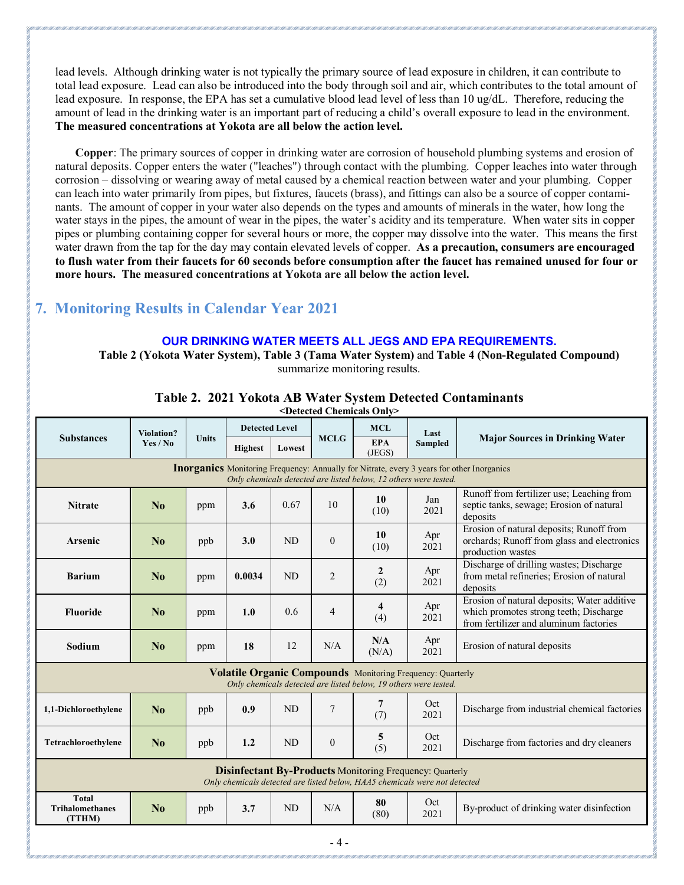lead levels. Although drinking water is not typically the primary source of lead exposure in children, it can contribute to total lead exposure. Lead can also be introduced into the body through soil and air, which contributes to the total amount of lead exposure. In response, the EPA has set a cumulative blood lead level of less than 10 ug/dL. Therefore, reducing the amount of lead in the drinking water is an important part of reducing a child's overall exposure to lead in the environment. **The measured concentrations at Yokota are all below the action level.**

**Copper**: The primary sources of copper in drinking water are corrosion of household plumbing systems and erosion of natural deposits. Copper enters the water ("leaches") through contact with the plumbing. Copper leaches into water through corrosion – dissolving or wearing away of metal caused by a chemical reaction between water and your plumbing. Copper can leach into water primarily from pipes, but fixtures, faucets (brass), and fittings can also be a source of copper contaminants. The amount of copper in your water also depends on the types and amounts of minerals in the water, how long the water stays in the pipes, the amount of wear in the pipes, the water's acidity and its temperature. When water sits in copper pipes or plumbing containing copper for several hours or more, the copper may dissolve into the water. This means the first water drawn from the tap for the day may contain elevated levels of copper. **As a precaution, consumers are encouraged to flush water from their faucets for 60 seconds before consumption after the faucet has remained unused for four or more hours. The measured concentrations at Yokota are all below the action level.**

# **7. Monitoring Results in Calendar Year 2021**

#### **OUR DRINKING WATER MEETS ALL JEGS AND EPA REQUIREMENTS.**

**Table 2 (Yokota Water System), Table 3 (Tama Water System)** and **Table 4 (Non-Regulated Compound)** summarize monitoring results.

|                                                                                                                                                                      | Violation?<br>Yes / No |              | <b>Detected Level</b> |        |                | <b>MCL</b>            | Last        |                                                                                                                                 |  |  |
|----------------------------------------------------------------------------------------------------------------------------------------------------------------------|------------------------|--------------|-----------------------|--------|----------------|-----------------------|-------------|---------------------------------------------------------------------------------------------------------------------------------|--|--|
| <b>Substances</b>                                                                                                                                                    |                        | <b>Units</b> | <b>Highest</b>        | Lowest | <b>MCLG</b>    | <b>EPA</b><br>(JEGS)  | Sampled     | <b>Major Sources in Drinking Water</b>                                                                                          |  |  |
| <b>Inorganics</b> Monitoring Frequency: Annually for Nitrate, every 3 years for other Inorganics<br>Only chemicals detected are listed below, 12 others were tested. |                        |              |                       |        |                |                       |             |                                                                                                                                 |  |  |
| <b>Nitrate</b>                                                                                                                                                       | No                     | ppm          | 3.6                   | 0.67   | 10             | 10<br>(10)            | Jan<br>2021 | Runoff from fertilizer use; Leaching from<br>septic tanks, sewage; Erosion of natural<br>deposits                               |  |  |
| <b>Arsenic</b>                                                                                                                                                       | No                     | ppb          | 3.0                   | ND     | $\overline{0}$ | 10<br>(10)            | Apr<br>2021 | Erosion of natural deposits; Runoff from<br>orchards; Runoff from glass and electronics<br>production wastes                    |  |  |
| <b>Barium</b>                                                                                                                                                        | No                     | ppm          | 0.0034                | ND     | $\overline{2}$ | $\mathbf{2}$<br>(2)   | Apr<br>2021 | Discharge of drilling wastes; Discharge<br>from metal refineries; Erosion of natural<br>deposits                                |  |  |
| <b>Fluoride</b>                                                                                                                                                      | $\mathbf{N}_0$         | ppm          | 1.0                   | 0.6    | 4              | 4<br>(4)              | Apr<br>2021 | Erosion of natural deposits; Water additive<br>which promotes strong teeth; Discharge<br>from fertilizer and aluminum factories |  |  |
| Sodium                                                                                                                                                               | No                     | ppm          | 18                    | 12     | N/A            | N/A<br>(N/A)          | Apr<br>2021 | Erosion of natural deposits                                                                                                     |  |  |
| <b>Volatile Organic Compounds</b> Monitoring Frequency: Quarterly<br>Only chemicals detected are listed below, 19 others were tested.                                |                        |              |                       |        |                |                       |             |                                                                                                                                 |  |  |
| 1,1-Dichloroethylene                                                                                                                                                 | $\mathbf{N_0}$         | ppb          | 0.9                   | ND     | $\overline{7}$ | $\overline{7}$<br>(7) | Oct<br>2021 | Discharge from industrial chemical factories                                                                                    |  |  |
| Tetrachloroethylene                                                                                                                                                  | N <sub>0</sub>         | ppb          | 1.2                   | ND     | $\mathbf{0}$   | 5<br>(5)              | Oct<br>2021 | Discharge from factories and dry cleaners                                                                                       |  |  |
| <b>Disinfectant By-Products Monitoring Frequency: Quarterly</b><br>Only chemicals detected are listed below, HAA5 chemicals were not detected                        |                        |              |                       |        |                |                       |             |                                                                                                                                 |  |  |
| <b>Total</b><br><b>Trihalomethanes</b><br>(TTHM)                                                                                                                     | No                     | ppb          | 3.7                   | ND     | N/A            | 80<br>(80)            | Oct<br>2021 | By-product of drinking water disinfection                                                                                       |  |  |
| - 4 -                                                                                                                                                                |                        |              |                       |        |                |                       |             |                                                                                                                                 |  |  |

#### **Table 2. 2021 Yokota AB Water System Detected Contaminants**

**<Detected Chemicals Only>**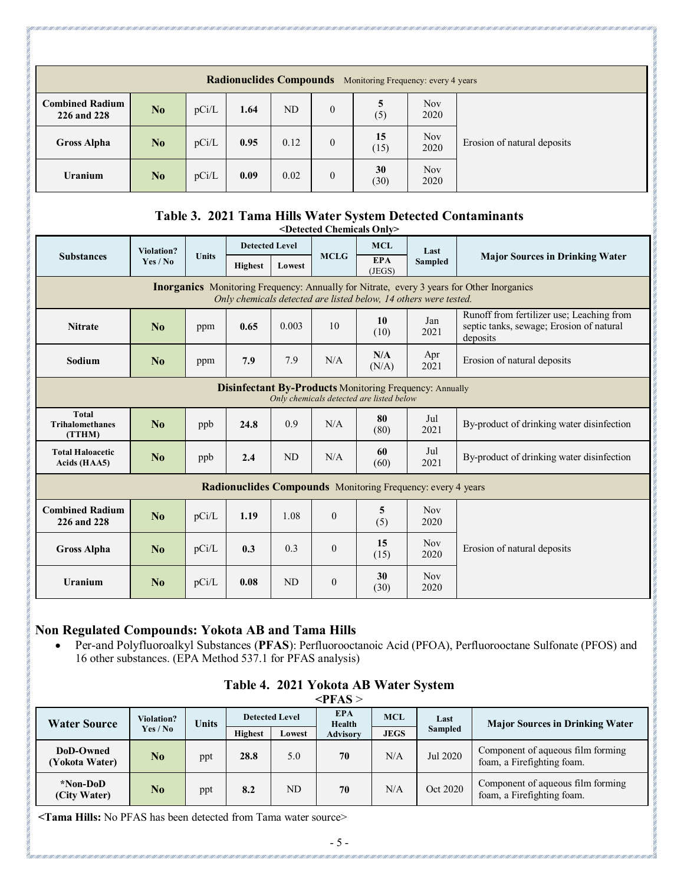| <b>Radionuclides Compounds</b><br>Monitoring Frequency: every 4 years |    |       |      |      |                |            |                    |                             |  |  |
|-----------------------------------------------------------------------|----|-------|------|------|----------------|------------|--------------------|-----------------------------|--|--|
| <b>Combined Radium</b><br>226 and 228                                 | No | pCi/L | 1.64 | ND   | $\overline{0}$ | (5)        | <b>Nov</b><br>2020 |                             |  |  |
| <b>Gross Alpha</b>                                                    | No | pCi/L | 0.95 | 0.12 | $\overline{0}$ | 15<br>(15) | <b>Nov</b><br>2020 | Erosion of natural deposits |  |  |
| <b>Uranium</b>                                                        | No | pCi/L | 0.09 | 0.02 | $\overline{0}$ | 30<br>(30) | <b>Nov</b><br>2020 |                             |  |  |

#### **Table 3. 2021 Tama Hills Water System Detected Contaminants <Detected Chemicals Only>**

| <b>Substances</b>                                                                                                                                                    | <b>Violation?</b> |              | <b>Detected Level</b> |           |                | <b>MCL</b>           | Last               | <b>Major Sources in Drinking Water</b>                                                            |  |
|----------------------------------------------------------------------------------------------------------------------------------------------------------------------|-------------------|--------------|-----------------------|-----------|----------------|----------------------|--------------------|---------------------------------------------------------------------------------------------------|--|
|                                                                                                                                                                      | Yes / No          | <b>Units</b> | <b>Highest</b>        | Lowest    | <b>MCLG</b>    | <b>EPA</b><br>(JEGS) | <b>Sampled</b>     |                                                                                                   |  |
| <b>Inorganics</b> Monitoring Frequency: Annually for Nitrate, every 3 years for Other Inorganics<br>Only chemicals detected are listed below, 14 others were tested. |                   |              |                       |           |                |                      |                    |                                                                                                   |  |
| <b>Nitrate</b>                                                                                                                                                       | No                | ppm          | 0.65                  | 0.003     | 10             | 10<br>(10)           | Jan<br>2021        | Runoff from fertilizer use; Leaching from<br>septic tanks, sewage; Erosion of natural<br>deposits |  |
| Sodium                                                                                                                                                               | N <sub>0</sub>    | ppm          | 7.9                   | 7.9       | N/A            | N/A<br>(N/A)         | Apr<br>2021        | Erosion of natural deposits                                                                       |  |
| <b>Disinfectant By-Products Monitoring Frequency: Annually</b><br>Only chemicals detected are listed below                                                           |                   |              |                       |           |                |                      |                    |                                                                                                   |  |
| <b>Total</b><br><b>Trihalomethanes</b><br>(TTHM)                                                                                                                     | No                | ppb          | 24.8                  | 0.9       | N/A            | 80<br>(80)           | Jul<br>2021        | By-product of drinking water disinfection                                                         |  |
| <b>Total Haloacetic</b><br>Acids (HAA5)                                                                                                                              | N <sub>0</sub>    | ppb          | 2.4                   | ND        | N/A            | 60<br>(60)           | Jul<br>2021        | By-product of drinking water disinfection                                                         |  |
| Radionuclides Compounds Monitoring Frequency: every 4 years                                                                                                          |                   |              |                       |           |                |                      |                    |                                                                                                   |  |
| <b>Combined Radium</b><br>226 and 228                                                                                                                                | N <sub>0</sub>    | pCi/L        | 1.19                  | 1.08      | $\overline{0}$ | 5<br>(5)             | <b>Nov</b><br>2020 |                                                                                                   |  |
| <b>Gross Alpha</b>                                                                                                                                                   | N <sub>0</sub>    | pCi/L        | 0.3                   | 0.3       | $\mathbf{0}$   | 15<br>(15)           | <b>Nov</b><br>2020 | Erosion of natural deposits                                                                       |  |
| Uranium                                                                                                                                                              | No                | pCi/L        | 0.08                  | <b>ND</b> | $\mathbf{0}$   | 30<br>(30)           | <b>Nov</b><br>2020 |                                                                                                   |  |

### **Non Regulated Compounds: Yokota AB and Tama Hills**

• Per-and Polyfluoroalkyl Substances (**PFAS**): Perfluorooctanoic Acid (PFOA), Perfluorooctane Sulfonate (PFOS) and 16 other substances. (EPA Method 537.1 for PFAS analysis)

| $\langle$ PFAS >            |                               |              |                       |        |                      |             |                |                                                                 |  |  |
|-----------------------------|-------------------------------|--------------|-----------------------|--------|----------------------|-------------|----------------|-----------------------------------------------------------------|--|--|
| <b>Water Source</b>         | <b>Violation?</b><br>Yes / No | <b>Units</b> | <b>Detected Level</b> |        | <b>EPA</b><br>Health | <b>MCL</b>  | Last           | <b>Major Sources in Drinking Water</b>                          |  |  |
|                             |                               |              | <b>Highest</b>        | Lowest | <b>Advisory</b>      | <b>JEGS</b> | <b>Sampled</b> |                                                                 |  |  |
| DoD-Owned<br>(Yokota Water) | $\bf No$                      | ppt          | 28.8                  | 5.0    | 70                   | N/A         | Jul 2020       | Component of aqueous film forming<br>foam, a Firefighting foam. |  |  |
| *Non-DoD<br>(City Water)    | $\bf No$                      | ppt          | 8.2                   | ND     | 70                   | N/A         | Oct 2020       | Component of aqueous film forming<br>foam, a Firefighting foam. |  |  |

**Table 4. 2021 Yokota AB Water System**

**<Tama Hills:** No PFAS has been detected from Tama water source>